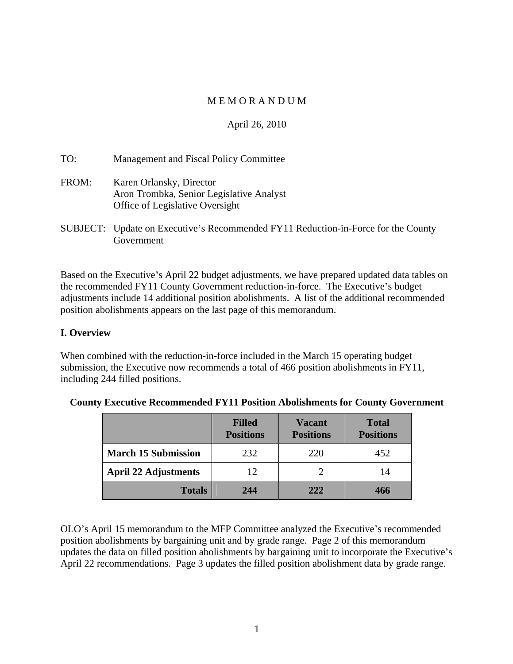# M E M O R A N D U M

# April 26, 2010

| TO:   | Management and Fiscal Policy Committee                                                                  |
|-------|---------------------------------------------------------------------------------------------------------|
| FROM: | Karen Orlansky, Director<br>Aron Trombka, Senior Legislative Analyst<br>Office of Legislative Oversight |
|       | SUBJECT: Undate on Executive's Recommended FY11 Reduction-in-Force for the County                       |

SUBJECT: Update on Executive's Recommended FY11 Reduction-in-Force for the County Government and the state of the state of the state of the state of the state of the state of the state of the state of the state of the state of the state of the state of the state of the state of the state of the state of

Based on the Executive's April 22 budget adjustments, we have prepared updated data tables on the recommended FY11 County Government reduction-in-force. The Executive's budget adjustments include 14 additional position abolishments. A list of the additional recommended position abolishments appears on the last page of this memorandum.

# **I. Overview**

When combined with the reduction-in-force included in the March 15 operating budget submission, the Executive now recommends a total of 466 position abolishments in FY11, including 244 filled positions.

|                            | <b>Filled</b><br><b>Positions</b> | <b>Vacant</b><br><b>Positions</b> | <b>Total</b><br><b>Positions</b> |
|----------------------------|-----------------------------------|-----------------------------------|----------------------------------|
| <b>March 15 Submission</b> | 232                               | 220                               | 452                              |
| April 22 Adjustments       | 12                                |                                   | 14                               |
| <b>Totals</b>              | 244                               | 222                               | 466                              |

# **County Executive Recommended FY11 Position Abolishments for County Government**

OLO's April 15 memorandum to the MFP Committee analyzed the Executive's recommended position abolishments by bargaining unit and by grade range. Page 2 of this memorandum updates the data on filled position abolishments by bargaining unit to incorporate the Executive's April 22 recommendations. Page 3 updates the filled position abolishment data by grade range.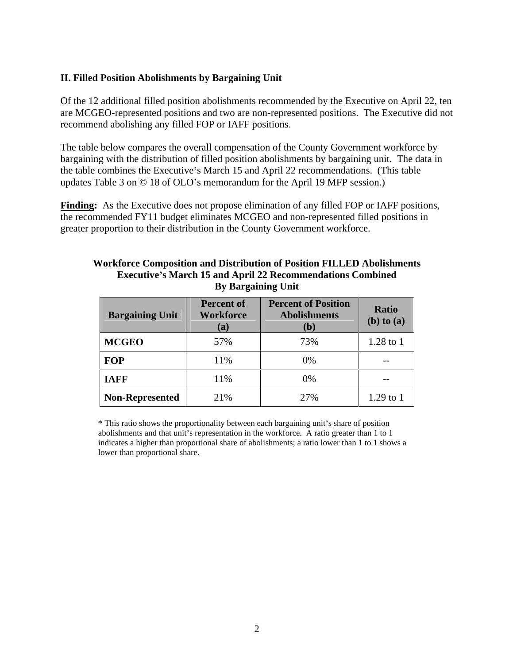## **II. Filled Position Abolishments by Bargaining Unit**

Of the 12 additional filled position abolishments recommended by the Executive on April 22, ten are MCGEO-represented positions and two are non-represented positions. The Executive did not recommend abolishing any filled FOP or IAFF positions.

The table below compares the overall compensation of the County Government workforce by bargaining with the distribution of filled position abolishments by bargaining unit. The data in the table combines the Executive's March 15 and April 22 recommendations. (This table updates Table 3 on  $\odot$  18 of OLO's memorandum for the April 19 MFP session.)

**Finding:** As the Executive does not propose elimination of any filled FOP or IAFF positions, the recommended FY11 budget eliminates MCGEO and non-represented filled positions in greater proportion to their distribution in the County Government workforce.

### **Workforce Composition and Distribution of Position FILLED Abolishments Executive s March 15 and April 22 Recommendations Combined By Bargaining Unit**

| <b>Bargaining Unit</b> | (a) | Percent of Percent of Position Ratio<br>(b) | $(b)$ to $(a)$  |
|------------------------|-----|---------------------------------------------|-----------------|
| <b>MCGEO</b>           | 57% | 73%                                         | $1.28$ to $1\,$ |
| <b>FOP</b>             | 11% | 0%                                          |                 |
| <b>IAFF</b>            | 11% | $0\%$                                       | $- -$           |
| Non-Represented        | 21% | 27%                                         | $1.29$ to $1$   |

\* This ratio shows the proportionality between each bargaining unit's share of position abolishments and that unit's representation in the workforce. A ratio greater than 1 to 1 indicates a higher than proportional share of abolishments; a ratio lower than 1 to 1 shows a lower than proportional share.